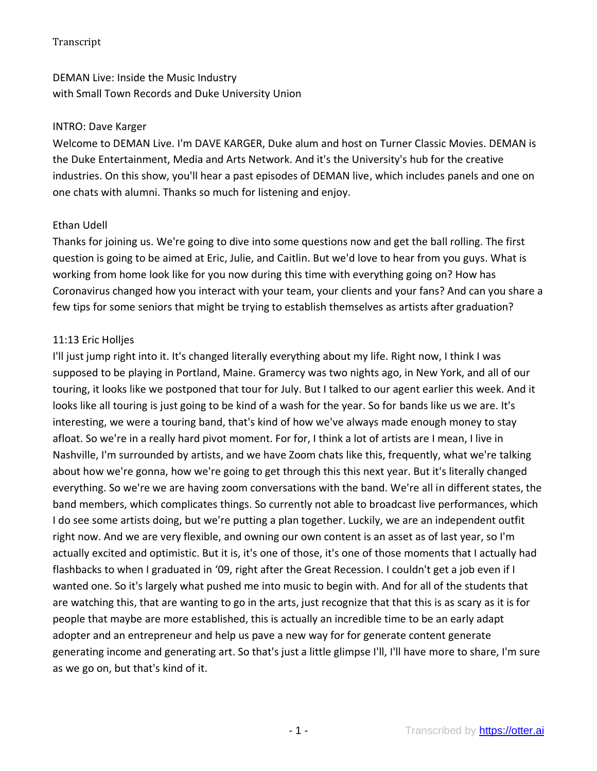DEMAN Live: Inside the Music Industry with Small Town Records and Duke University Union

#### INTRO: Dave Karger

Welcome to DEMAN Live. I'm DAVE KARGER, Duke alum and host on Turner Classic Movies. DEMAN is the Duke Entertainment, Media and Arts Network. And it's the University's hub for the creative industries. On this show, you'll hear a past episodes of DEMAN live, which includes panels and one on one chats with alumni. Thanks so much for listening and enjoy.

### Ethan Udell

Thanks for joining us. We're going to dive into some questions now and get the ball rolling. The first question is going to be aimed at Eric, Julie, and Caitlin. But we'd love to hear from you guys. What is working from home look like for you now during this time with everything going on? How has Coronavirus changed how you interact with your team, your clients and your fans? And can you share a few tips for some seniors that might be trying to establish themselves as artists after graduation?

### 11:13 Eric Holljes

I'll just jump right into it. It's changed literally everything about my life. Right now, I think I was supposed to be playing in Portland, Maine. Gramercy was two nights ago, in New York, and all of our touring, it looks like we postponed that tour for July. But I talked to our agent earlier this week. And it looks like all touring is just going to be kind of a wash for the year. So for bands like us we are. It's interesting, we were a touring band, that's kind of how we've always made enough money to stay afloat. So we're in a really hard pivot moment. For for, I think a lot of artists are I mean, I live in Nashville, I'm surrounded by artists, and we have Zoom chats like this, frequently, what we're talking about how we're gonna, how we're going to get through this this next year. But it's literally changed everything. So we're we are having zoom conversations with the band. We're all in different states, the band members, which complicates things. So currently not able to broadcast live performances, which I do see some artists doing, but we're putting a plan together. Luckily, we are an independent outfit right now. And we are very flexible, and owning our own content is an asset as of last year, so I'm actually excited and optimistic. But it is, it's one of those, it's one of those moments that I actually had flashbacks to when I graduated in '09, right after the Great Recession. I couldn't get a job even if I wanted one. So it's largely what pushed me into music to begin with. And for all of the students that are watching this, that are wanting to go in the arts, just recognize that that this is as scary as it is for people that maybe are more established, this is actually an incredible time to be an early adapt adopter and an entrepreneur and help us pave a new way for for generate content generate generating income and generating art. So that's just a little glimpse I'll, I'll have more to share, I'm sure as we go on, but that's kind of it.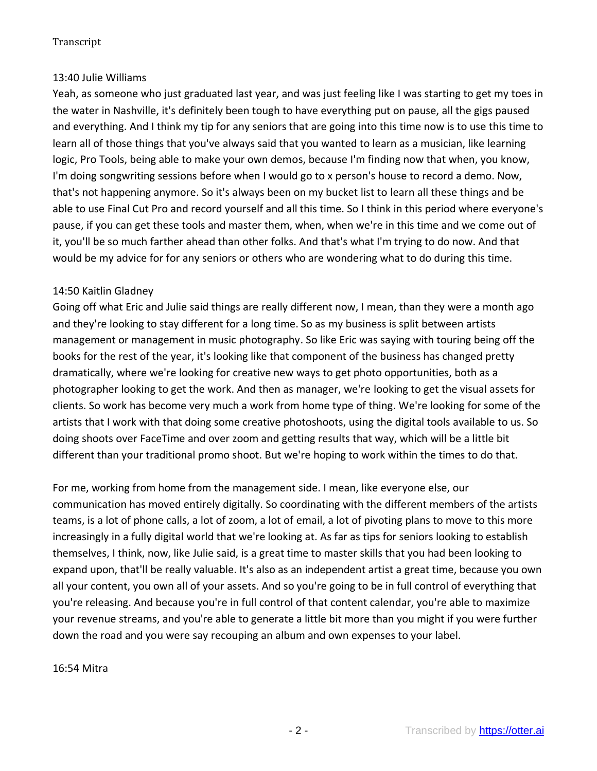# 13:40 Julie Williams

Yeah, as someone who just graduated last year, and was just feeling like I was starting to get my toes in the water in Nashville, it's definitely been tough to have everything put on pause, all the gigs paused and everything. And I think my tip for any seniors that are going into this time now is to use this time to learn all of those things that you've always said that you wanted to learn as a musician, like learning logic, Pro Tools, being able to make your own demos, because I'm finding now that when, you know, I'm doing songwriting sessions before when I would go to x person's house to record a demo. Now, that's not happening anymore. So it's always been on my bucket list to learn all these things and be able to use Final Cut Pro and record yourself and all this time. So I think in this period where everyone's pause, if you can get these tools and master them, when, when we're in this time and we come out of it, you'll be so much farther ahead than other folks. And that's what I'm trying to do now. And that would be my advice for for any seniors or others who are wondering what to do during this time.

# 14:50 Kaitlin Gladney

Going off what Eric and Julie said things are really different now, I mean, than they were a month ago and they're looking to stay different for a long time. So as my business is split between artists management or management in music photography. So like Eric was saying with touring being off the books for the rest of the year, it's looking like that component of the business has changed pretty dramatically, where we're looking for creative new ways to get photo opportunities, both as a photographer looking to get the work. And then as manager, we're looking to get the visual assets for clients. So work has become very much a work from home type of thing. We're looking for some of the artists that I work with that doing some creative photoshoots, using the digital tools available to us. So doing shoots over FaceTime and over zoom and getting results that way, which will be a little bit different than your traditional promo shoot. But we're hoping to work within the times to do that.

For me, working from home from the management side. I mean, like everyone else, our communication has moved entirely digitally. So coordinating with the different members of the artists teams, is a lot of phone calls, a lot of zoom, a lot of email, a lot of pivoting plans to move to this more increasingly in a fully digital world that we're looking at. As far as tips for seniors looking to establish themselves, I think, now, like Julie said, is a great time to master skills that you had been looking to expand upon, that'll be really valuable. It's also as an independent artist a great time, because you own all your content, you own all of your assets. And so you're going to be in full control of everything that you're releasing. And because you're in full control of that content calendar, you're able to maximize your revenue streams, and you're able to generate a little bit more than you might if you were further down the road and you were say recouping an album and own expenses to your label.

#### 16:54 Mitra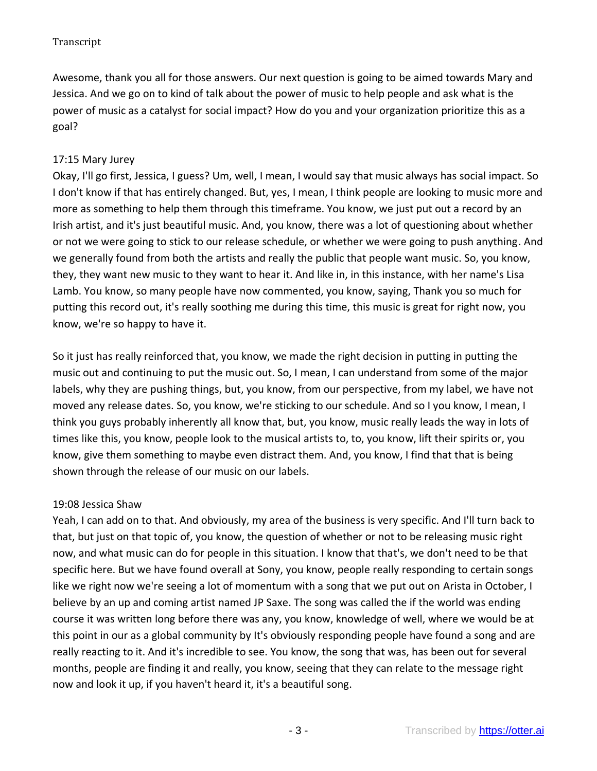Awesome, thank you all for those answers. Our next question is going to be aimed towards Mary and Jessica. And we go on to kind of talk about the power of music to help people and ask what is the power of music as a catalyst for social impact? How do you and your organization prioritize this as a goal?

# 17:15 Mary Jurey

Okay, I'll go first, Jessica, I guess? Um, well, I mean, I would say that music always has social impact. So I don't know if that has entirely changed. But, yes, I mean, I think people are looking to music more and more as something to help them through this timeframe. You know, we just put out a record by an Irish artist, and it's just beautiful music. And, you know, there was a lot of questioning about whether or not we were going to stick to our release schedule, or whether we were going to push anything. And we generally found from both the artists and really the public that people want music. So, you know, they, they want new music to they want to hear it. And like in, in this instance, with her name's Lisa Lamb. You know, so many people have now commented, you know, saying, Thank you so much for putting this record out, it's really soothing me during this time, this music is great for right now, you know, we're so happy to have it.

So it just has really reinforced that, you know, we made the right decision in putting in putting the music out and continuing to put the music out. So, I mean, I can understand from some of the major labels, why they are pushing things, but, you know, from our perspective, from my label, we have not moved any release dates. So, you know, we're sticking to our schedule. And so I you know, I mean, I think you guys probably inherently all know that, but, you know, music really leads the way in lots of times like this, you know, people look to the musical artists to, to, you know, lift their spirits or, you know, give them something to maybe even distract them. And, you know, I find that that is being shown through the release of our music on our labels.

# 19:08 Jessica Shaw

Yeah, I can add on to that. And obviously, my area of the business is very specific. And I'll turn back to that, but just on that topic of, you know, the question of whether or not to be releasing music right now, and what music can do for people in this situation. I know that that's, we don't need to be that specific here. But we have found overall at Sony, you know, people really responding to certain songs like we right now we're seeing a lot of momentum with a song that we put out on Arista in October, I believe by an up and coming artist named JP Saxe. The song was called the if the world was ending course it was written long before there was any, you know, knowledge of well, where we would be at this point in our as a global community by It's obviously responding people have found a song and are really reacting to it. And it's incredible to see. You know, the song that was, has been out for several months, people are finding it and really, you know, seeing that they can relate to the message right now and look it up, if you haven't heard it, it's a beautiful song.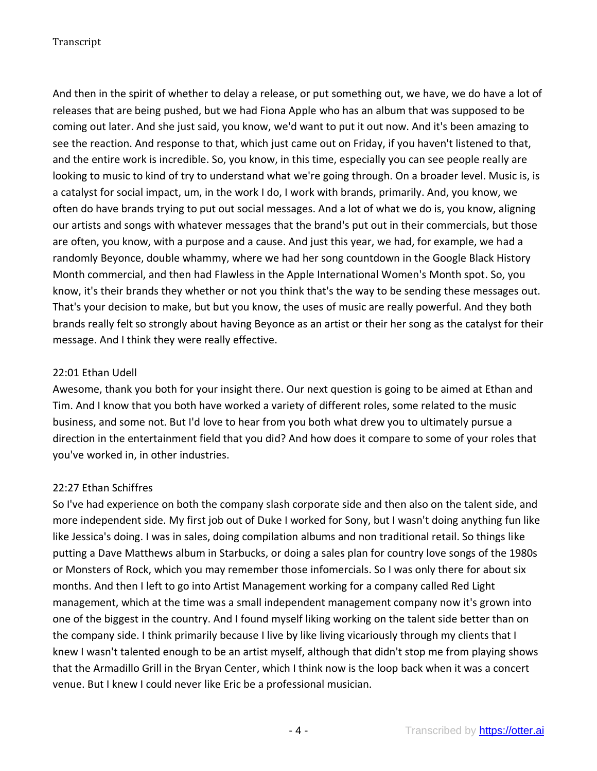And then in the spirit of whether to delay a release, or put something out, we have, we do have a lot of releases that are being pushed, but we had Fiona Apple who has an album that was supposed to be coming out later. And she just said, you know, we'd want to put it out now. And it's been amazing to see the reaction. And response to that, which just came out on Friday, if you haven't listened to that, and the entire work is incredible. So, you know, in this time, especially you can see people really are looking to music to kind of try to understand what we're going through. On a broader level. Music is, is a catalyst for social impact, um, in the work I do, I work with brands, primarily. And, you know, we often do have brands trying to put out social messages. And a lot of what we do is, you know, aligning our artists and songs with whatever messages that the brand's put out in their commercials, but those are often, you know, with a purpose and a cause. And just this year, we had, for example, we had a randomly Beyonce, double whammy, where we had her song countdown in the Google Black History Month commercial, and then had Flawless in the Apple International Women's Month spot. So, you know, it's their brands they whether or not you think that's the way to be sending these messages out. That's your decision to make, but but you know, the uses of music are really powerful. And they both brands really felt so strongly about having Beyonce as an artist or their her song as the catalyst for their message. And I think they were really effective.

### 22:01 Ethan Udell

Awesome, thank you both for your insight there. Our next question is going to be aimed at Ethan and Tim. And I know that you both have worked a variety of different roles, some related to the music business, and some not. But I'd love to hear from you both what drew you to ultimately pursue a direction in the entertainment field that you did? And how does it compare to some of your roles that you've worked in, in other industries.

# 22:27 Ethan Schiffres

So I've had experience on both the company slash corporate side and then also on the talent side, and more independent side. My first job out of Duke I worked for Sony, but I wasn't doing anything fun like like Jessica's doing. I was in sales, doing compilation albums and non traditional retail. So things like putting a Dave Matthews album in Starbucks, or doing a sales plan for country love songs of the 1980s or Monsters of Rock, which you may remember those infomercials. So I was only there for about six months. And then I left to go into Artist Management working for a company called Red Light management, which at the time was a small independent management company now it's grown into one of the biggest in the country. And I found myself liking working on the talent side better than on the company side. I think primarily because I live by like living vicariously through my clients that I knew I wasn't talented enough to be an artist myself, although that didn't stop me from playing shows that the Armadillo Grill in the Bryan Center, which I think now is the loop back when it was a concert venue. But I knew I could never like Eric be a professional musician.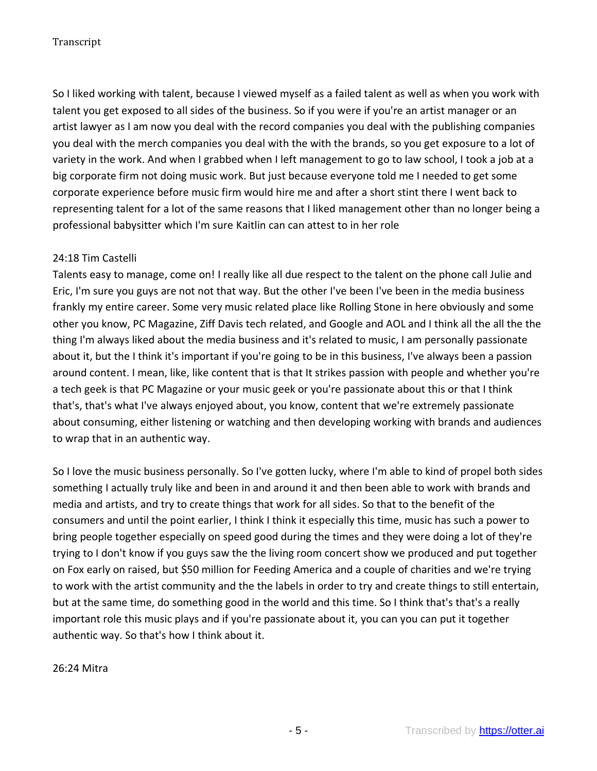So I liked working with talent, because I viewed myself as a failed talent as well as when you work with talent you get exposed to all sides of the business. So if you were if you're an artist manager or an artist lawyer as I am now you deal with the record companies you deal with the publishing companies you deal with the merch companies you deal with the with the brands, so you get exposure to a lot of variety in the work. And when I grabbed when I left management to go to law school, I took a job at a big corporate firm not doing music work. But just because everyone told me I needed to get some corporate experience before music firm would hire me and after a short stint there I went back to representing talent for a lot of the same reasons that I liked management other than no longer being a professional babysitter which I'm sure Kaitlin can can attest to in her role

### 24:18 Tim Castelli

Talents easy to manage, come on! I really like all due respect to the talent on the phone call Julie and Eric, I'm sure you guys are not not that way. But the other I've been I've been in the media business frankly my entire career. Some very music related place like Rolling Stone in here obviously and some other you know, PC Magazine, Ziff Davis tech related, and Google and AOL and I think all the all the the thing I'm always liked about the media business and it's related to music, I am personally passionate about it, but the I think it's important if you're going to be in this business, I've always been a passion around content. I mean, like, like content that is that It strikes passion with people and whether you're a tech geek is that PC Magazine or your music geek or you're passionate about this or that I think that's, that's what I've always enjoyed about, you know, content that we're extremely passionate about consuming, either listening or watching and then developing working with brands and audiences to wrap that in an authentic way.

So I love the music business personally. So I've gotten lucky, where I'm able to kind of propel both sides something I actually truly like and been in and around it and then been able to work with brands and media and artists, and try to create things that work for all sides. So that to the benefit of the consumers and until the point earlier, I think I think it especially this time, music has such a power to bring people together especially on speed good during the times and they were doing a lot of they're trying to I don't know if you guys saw the the living room concert show we produced and put together on Fox early on raised, but \$50 million for Feeding America and a couple of charities and we're trying to work with the artist community and the the labels in order to try and create things to still entertain, but at the same time, do something good in the world and this time. So I think that's that's a really important role this music plays and if you're passionate about it, you can you can put it together authentic way. So that's how I think about it.

26:24 Mitra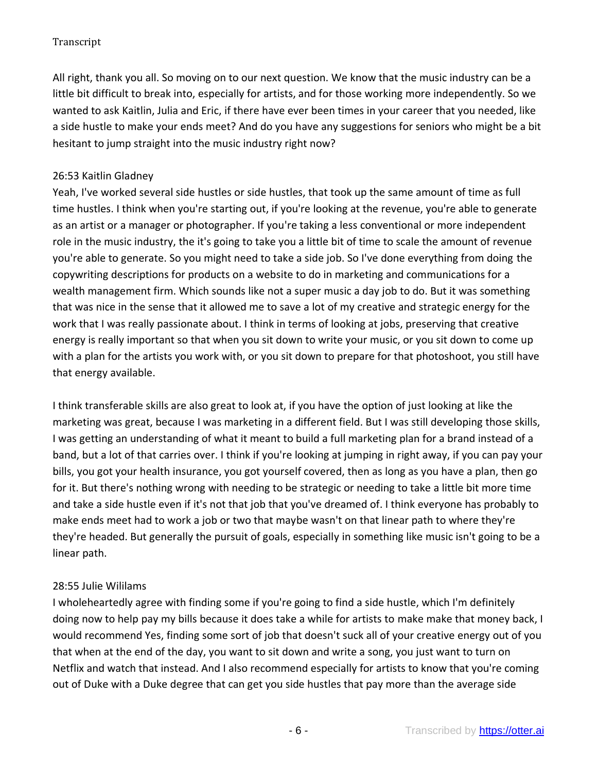All right, thank you all. So moving on to our next question. We know that the music industry can be a little bit difficult to break into, especially for artists, and for those working more independently. So we wanted to ask Kaitlin, Julia and Eric, if there have ever been times in your career that you needed, like a side hustle to make your ends meet? And do you have any suggestions for seniors who might be a bit hesitant to jump straight into the music industry right now?

## 26:53 Kaitlin Gladney

Yeah, I've worked several side hustles or side hustles, that took up the same amount of time as full time hustles. I think when you're starting out, if you're looking at the revenue, you're able to generate as an artist or a manager or photographer. If you're taking a less conventional or more independent role in the music industry, the it's going to take you a little bit of time to scale the amount of revenue you're able to generate. So you might need to take a side job. So I've done everything from doing the copywriting descriptions for products on a website to do in marketing and communications for a wealth management firm. Which sounds like not a super music a day job to do. But it was something that was nice in the sense that it allowed me to save a lot of my creative and strategic energy for the work that I was really passionate about. I think in terms of looking at jobs, preserving that creative energy is really important so that when you sit down to write your music, or you sit down to come up with a plan for the artists you work with, or you sit down to prepare for that photoshoot, you still have that energy available.

I think transferable skills are also great to look at, if you have the option of just looking at like the marketing was great, because I was marketing in a different field. But I was still developing those skills, I was getting an understanding of what it meant to build a full marketing plan for a brand instead of a band, but a lot of that carries over. I think if you're looking at jumping in right away, if you can pay your bills, you got your health insurance, you got yourself covered, then as long as you have a plan, then go for it. But there's nothing wrong with needing to be strategic or needing to take a little bit more time and take a side hustle even if it's not that job that you've dreamed of. I think everyone has probably to make ends meet had to work a job or two that maybe wasn't on that linear path to where they're they're headed. But generally the pursuit of goals, especially in something like music isn't going to be a linear path.

#### 28:55 Julie Wililams

I wholeheartedly agree with finding some if you're going to find a side hustle, which I'm definitely doing now to help pay my bills because it does take a while for artists to make make that money back, I would recommend Yes, finding some sort of job that doesn't suck all of your creative energy out of you that when at the end of the day, you want to sit down and write a song, you just want to turn on Netflix and watch that instead. And I also recommend especially for artists to know that you're coming out of Duke with a Duke degree that can get you side hustles that pay more than the average side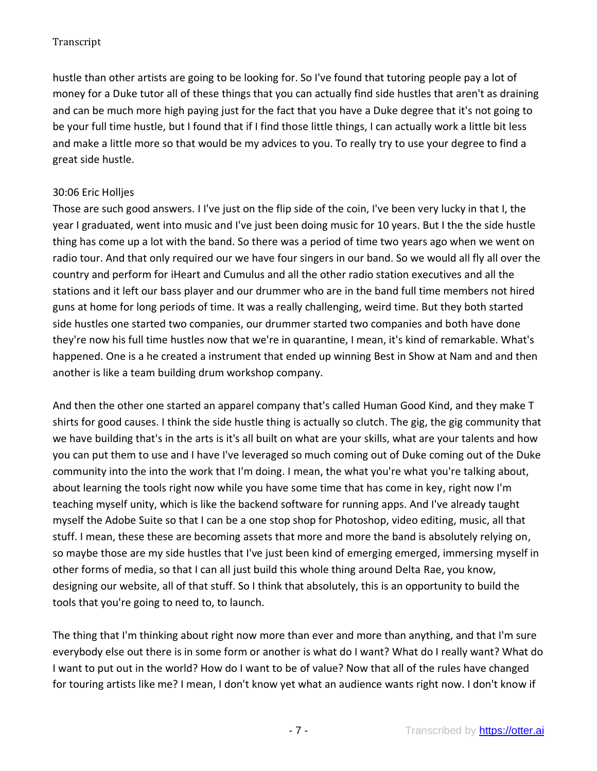hustle than other artists are going to be looking for. So I've found that tutoring people pay a lot of money for a Duke tutor all of these things that you can actually find side hustles that aren't as draining and can be much more high paying just for the fact that you have a Duke degree that it's not going to be your full time hustle, but I found that if I find those little things, I can actually work a little bit less and make a little more so that would be my advices to you. To really try to use your degree to find a great side hustle.

# 30:06 Eric Holljes

Those are such good answers. I I've just on the flip side of the coin, I've been very lucky in that I, the year I graduated, went into music and I've just been doing music for 10 years. But I the the side hustle thing has come up a lot with the band. So there was a period of time two years ago when we went on radio tour. And that only required our we have four singers in our band. So we would all fly all over the country and perform for iHeart and Cumulus and all the other radio station executives and all the stations and it left our bass player and our drummer who are in the band full time members not hired guns at home for long periods of time. It was a really challenging, weird time. But they both started side hustles one started two companies, our drummer started two companies and both have done they're now his full time hustles now that we're in quarantine, I mean, it's kind of remarkable. What's happened. One is a he created a instrument that ended up winning Best in Show at Nam and and then another is like a team building drum workshop company.

And then the other one started an apparel company that's called Human Good Kind, and they make T shirts for good causes. I think the side hustle thing is actually so clutch. The gig, the gig community that we have building that's in the arts is it's all built on what are your skills, what are your talents and how you can put them to use and I have I've leveraged so much coming out of Duke coming out of the Duke community into the into the work that I'm doing. I mean, the what you're what you're talking about, about learning the tools right now while you have some time that has come in key, right now I'm teaching myself unity, which is like the backend software for running apps. And I've already taught myself the Adobe Suite so that I can be a one stop shop for Photoshop, video editing, music, all that stuff. I mean, these these are becoming assets that more and more the band is absolutely relying on, so maybe those are my side hustles that I've just been kind of emerging emerged, immersing myself in other forms of media, so that I can all just build this whole thing around Delta Rae, you know, designing our website, all of that stuff. So I think that absolutely, this is an opportunity to build the tools that you're going to need to, to launch.

The thing that I'm thinking about right now more than ever and more than anything, and that I'm sure everybody else out there is in some form or another is what do I want? What do I really want? What do I want to put out in the world? How do I want to be of value? Now that all of the rules have changed for touring artists like me? I mean, I don't know yet what an audience wants right now. I don't know if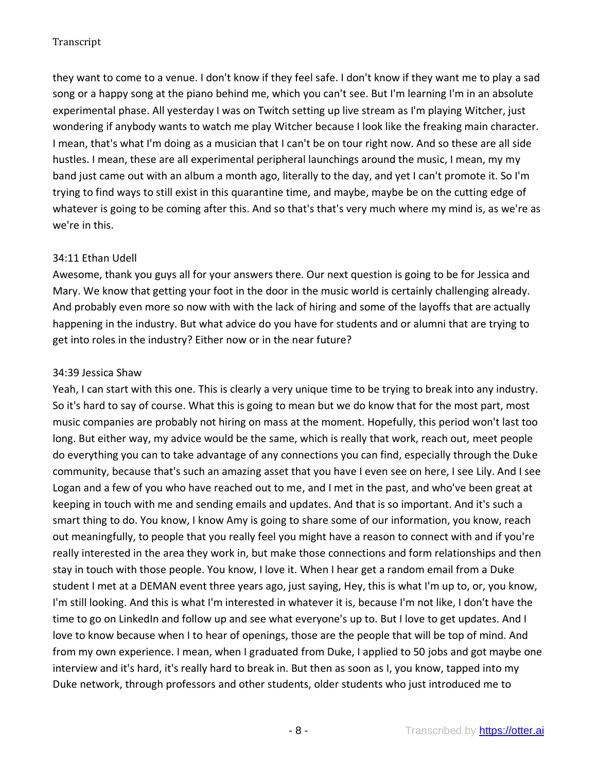they want to come to a venue. I don't know if they feel safe. I don't know if they want me to play a sad song or a happy song at the piano behind me, which you can't see. But I'm learning I'm in an absolute experimental phase. All yesterday I was on Twitch setting up live stream as I'm playing Witcher, just wondering if anybody wants to watch me play Witcher because I look like the freaking main character. I mean, that's what I'm doing as a musician that I can't be on tour right now. And so these are all side hustles. I mean, these are all experimental peripheral launchings around the music, I mean, my my band just came out with an album a month ago, literally to the day, and yet I can't promote it. So I'm trying to find ways to still exist in this quarantine time, and maybe, maybe be on the cutting edge of whatever is going to be coming after this. And so that's that's very much where my mind is, as we're as we're in this.

### 34:11 Ethan Udell

Awesome, thank you guys all for your answers there. Our next question is going to be for Jessica and Mary. We know that getting your foot in the door in the music world is certainly challenging already. And probably even more so now with with the lack of hiring and some of the layoffs that are actually happening in the industry. But what advice do you have for students and or alumni that are trying to get into roles in the industry? Either now or in the near future?

### 34:39 Jessica Shaw

Yeah, I can start with this one. This is clearly a very unique time to be trying to break into any industry. So it's hard to say of course. What this is going to mean but we do know that for the most part, most music companies are probably not hiring on mass at the moment. Hopefully, this period won't last too long. But either way, my advice would be the same, which is really that work, reach out, meet people do everything you can to take advantage of any connections you can find, especially through the Duke community, because that's such an amazing asset that you have I even see on here, I see Lily. And I see Logan and a few of you who have reached out to me, and I met in the past, and who've been great at keeping in touch with me and sending emails and updates. And that is so important. And it's such a smart thing to do. You know, I know Amy is going to share some of our information, you know, reach out meaningfully, to people that you really feel you might have a reason to connect with and if you're really interested in the area they work in, but make those connections and form relationships and then stay in touch with those people. You know, I love it. When I hear get a random email from a Duke student I met at a DEMAN event three years ago, just saying, Hey, this is what I'm up to, or, you know, I'm still looking. And this is what I'm interested in whatever it is, because I'm not like, I don't have the time to go on LinkedIn and follow up and see what everyone's up to. But I love to get updates. And I love to know because when I to hear of openings, those are the people that will be top of mind. And from my own experience. I mean, when I graduated from Duke, I applied to 50 jobs and got maybe one interview and it's hard, it's really hard to break in. But then as soon as I, you know, tapped into my Duke network, through professors and other students, older students who just introduced me to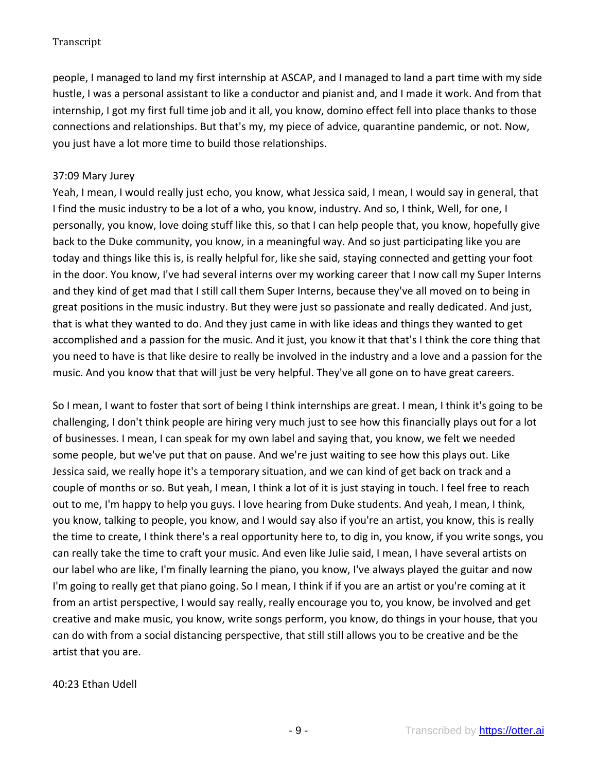people, I managed to land my first internship at ASCAP, and I managed to land a part time with my side hustle, I was a personal assistant to like a conductor and pianist and, and I made it work. And from that internship, I got my first full time job and it all, you know, domino effect fell into place thanks to those connections and relationships. But that's my, my piece of advice, quarantine pandemic, or not. Now, you just have a lot more time to build those relationships.

# 37:09 Mary Jurey

Yeah, I mean, I would really just echo, you know, what Jessica said, I mean, I would say in general, that I find the music industry to be a lot of a who, you know, industry. And so, I think, Well, for one, I personally, you know, love doing stuff like this, so that I can help people that, you know, hopefully give back to the Duke community, you know, in a meaningful way. And so just participating like you are today and things like this is, is really helpful for, like she said, staying connected and getting your foot in the door. You know, I've had several interns over my working career that I now call my Super Interns and they kind of get mad that I still call them Super Interns, because they've all moved on to being in great positions in the music industry. But they were just so passionate and really dedicated. And just, that is what they wanted to do. And they just came in with like ideas and things they wanted to get accomplished and a passion for the music. And it just, you know it that that's I think the core thing that you need to have is that like desire to really be involved in the industry and a love and a passion for the music. And you know that that will just be very helpful. They've all gone on to have great careers.

So I mean, I want to foster that sort of being I think internships are great. I mean, I think it's going to be challenging, I don't think people are hiring very much just to see how this financially plays out for a lot of businesses. I mean, I can speak for my own label and saying that, you know, we felt we needed some people, but we've put that on pause. And we're just waiting to see how this plays out. Like Jessica said, we really hope it's a temporary situation, and we can kind of get back on track and a couple of months or so. But yeah, I mean, I think a lot of it is just staying in touch. I feel free to reach out to me, I'm happy to help you guys. I love hearing from Duke students. And yeah, I mean, I think, you know, talking to people, you know, and I would say also if you're an artist, you know, this is really the time to create, I think there's a real opportunity here to, to dig in, you know, if you write songs, you can really take the time to craft your music. And even like Julie said, I mean, I have several artists on our label who are like, I'm finally learning the piano, you know, I've always played the guitar and now I'm going to really get that piano going. So I mean, I think if if you are an artist or you're coming at it from an artist perspective, I would say really, really encourage you to, you know, be involved and get creative and make music, you know, write songs perform, you know, do things in your house, that you can do with from a social distancing perspective, that still still allows you to be creative and be the artist that you are.

# 40:23 Ethan Udell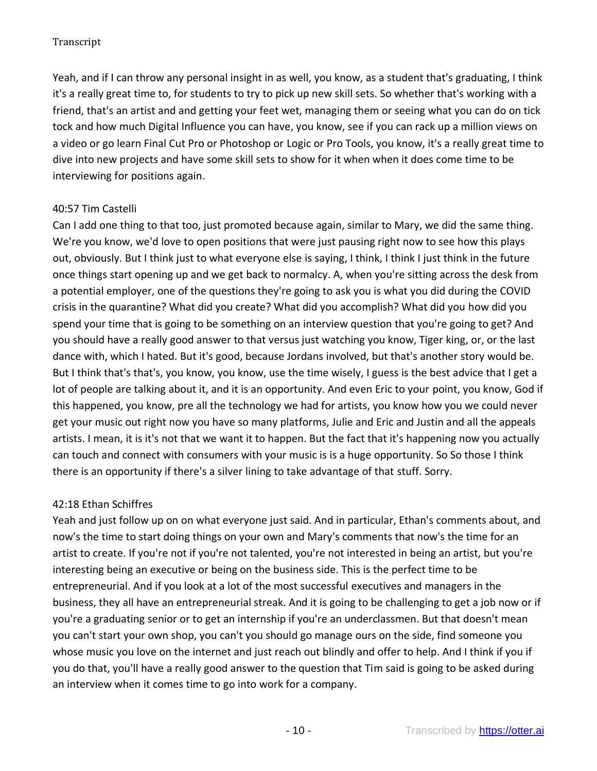Yeah, and if I can throw any personal insight in as well, you know, as a student that's graduating, I think it's a really great time to, for students to try to pick up new skill sets. So whether that's working with a friend, that's an artist and and getting your feet wet, managing them or seeing what you can do on tick tock and how much Digital Influence you can have, you know, see if you can rack up a million views on a video or go learn Final Cut Pro or Photoshop or Logic or Pro Tools, you know, it's a really great time to dive into new projects and have some skill sets to show for it when when it does come time to be interviewing for positions again.

# 40:57 Tim Castelli

Can I add one thing to that too, just promoted because again, similar to Mary, we did the same thing. We're you know, we'd love to open positions that were just pausing right now to see how this plays out, obviously. But I think just to what everyone else is saying, I think, I think I just think in the future once things start opening up and we get back to normalcy. A, when you're sitting across the desk from a potential employer, one of the questions they're going to ask you is what you did during the COVID crisis in the quarantine? What did you create? What did you accomplish? What did you how did you spend your time that is going to be something on an interview question that you're going to get? And you should have a really good answer to that versus just watching you know, Tiger king, or, or the last dance with, which I hated. But it's good, because Jordans involved, but that's another story would be. But I think that's that's, you know, you know, use the time wisely, I guess is the best advice that I get a lot of people are talking about it, and it is an opportunity. And even Eric to your point, you know, God if this happened, you know, pre all the technology we had for artists, you know how you we could never get your music out right now you have so many platforms, Julie and Eric and Justin and all the appeals artists. I mean, it is it's not that we want it to happen. But the fact that it's happening now you actually can touch and connect with consumers with your music is is a huge opportunity. So So those I think there is an opportunity if there's a silver lining to take advantage of that stuff. Sorry.

# 42:18 Ethan Schiffres

Yeah and just follow up on on what everyone just said. And in particular, Ethan's comments about, and now's the time to start doing things on your own and Mary's comments that now's the time for an artist to create. If you're not if you're not talented, you're not interested in being an artist, but you're interesting being an executive or being on the business side. This is the perfect time to be entrepreneurial. And if you look at a lot of the most successful executives and managers in the business, they all have an entrepreneurial streak. And it is going to be challenging to get a job now or if you're a graduating senior or to get an internship if you're an underclassmen. But that doesn't mean you can't start your own shop, you can't you should go manage ours on the side, find someone you whose music you love on the internet and just reach out blindly and offer to help. And I think if you if you do that, you'll have a really good answer to the question that Tim said is going to be asked during an interview when it comes time to go into work for a company.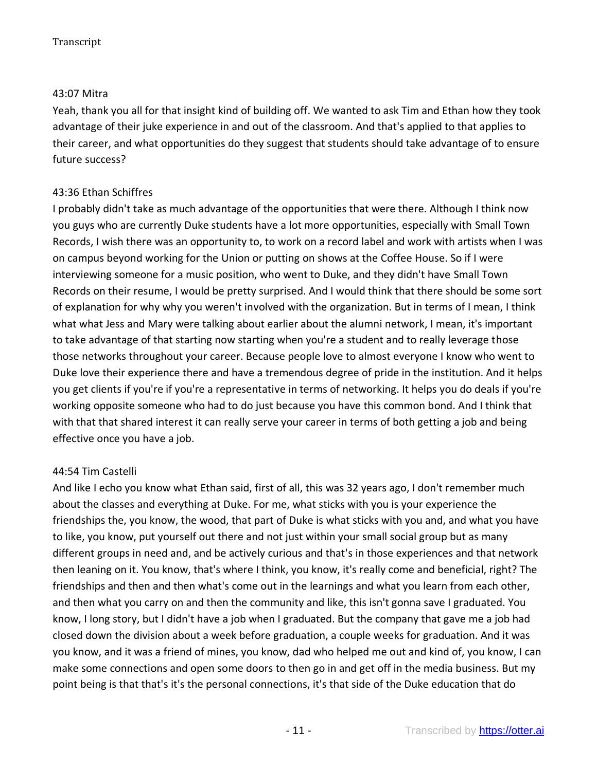#### 43:07 Mitra

Yeah, thank you all for that insight kind of building off. We wanted to ask Tim and Ethan how they took advantage of their juke experience in and out of the classroom. And that's applied to that applies to their career, and what opportunities do they suggest that students should take advantage of to ensure future success?

# 43:36 Ethan Schiffres

I probably didn't take as much advantage of the opportunities that were there. Although I think now you guys who are currently Duke students have a lot more opportunities, especially with Small Town Records, I wish there was an opportunity to, to work on a record label and work with artists when I was on campus beyond working for the Union or putting on shows at the Coffee House. So if I were interviewing someone for a music position, who went to Duke, and they didn't have Small Town Records on their resume, I would be pretty surprised. And I would think that there should be some sort of explanation for why why you weren't involved with the organization. But in terms of I mean, I think what what Jess and Mary were talking about earlier about the alumni network, I mean, it's important to take advantage of that starting now starting when you're a student and to really leverage those those networks throughout your career. Because people love to almost everyone I know who went to Duke love their experience there and have a tremendous degree of pride in the institution. And it helps you get clients if you're if you're a representative in terms of networking. It helps you do deals if you're working opposite someone who had to do just because you have this common bond. And I think that with that that shared interest it can really serve your career in terms of both getting a job and being effective once you have a job.

# 44:54 Tim Castelli

And like I echo you know what Ethan said, first of all, this was 32 years ago, I don't remember much about the classes and everything at Duke. For me, what sticks with you is your experience the friendships the, you know, the wood, that part of Duke is what sticks with you and, and what you have to like, you know, put yourself out there and not just within your small social group but as many different groups in need and, and be actively curious and that's in those experiences and that network then leaning on it. You know, that's where I think, you know, it's really come and beneficial, right? The friendships and then and then what's come out in the learnings and what you learn from each other, and then what you carry on and then the community and like, this isn't gonna save I graduated. You know, I long story, but I didn't have a job when I graduated. But the company that gave me a job had closed down the division about a week before graduation, a couple weeks for graduation. And it was you know, and it was a friend of mines, you know, dad who helped me out and kind of, you know, I can make some connections and open some doors to then go in and get off in the media business. But my point being is that that's it's the personal connections, it's that side of the Duke education that do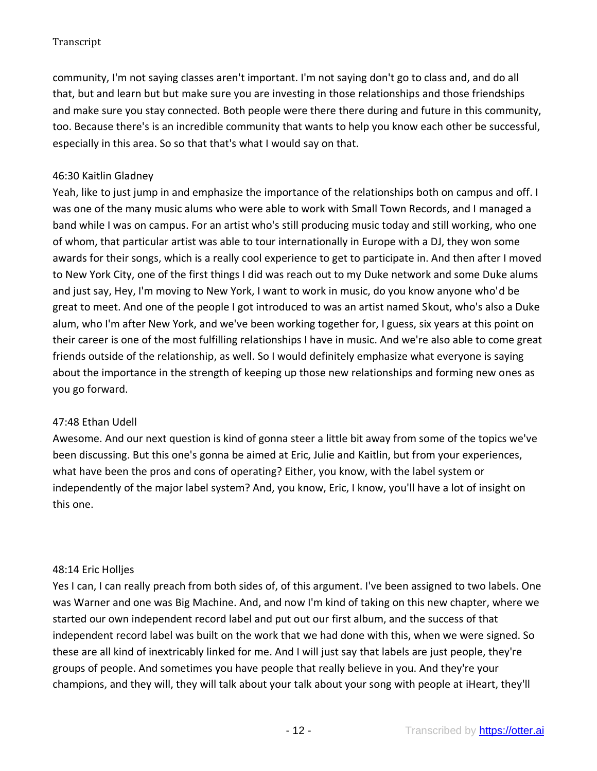community, I'm not saying classes aren't important. I'm not saying don't go to class and, and do all that, but and learn but but make sure you are investing in those relationships and those friendships and make sure you stay connected. Both people were there there during and future in this community, too. Because there's is an incredible community that wants to help you know each other be successful, especially in this area. So so that that's what I would say on that.

# 46:30 Kaitlin Gladney

Yeah, like to just jump in and emphasize the importance of the relationships both on campus and off. I was one of the many music alums who were able to work with Small Town Records, and I managed a band while I was on campus. For an artist who's still producing music today and still working, who one of whom, that particular artist was able to tour internationally in Europe with a DJ, they won some awards for their songs, which is a really cool experience to get to participate in. And then after I moved to New York City, one of the first things I did was reach out to my Duke network and some Duke alums and just say, Hey, I'm moving to New York, I want to work in music, do you know anyone who'd be great to meet. And one of the people I got introduced to was an artist named Skout, who's also a Duke alum, who I'm after New York, and we've been working together for, I guess, six years at this point on their career is one of the most fulfilling relationships I have in music. And we're also able to come great friends outside of the relationship, as well. So I would definitely emphasize what everyone is saying about the importance in the strength of keeping up those new relationships and forming new ones as you go forward.

# 47:48 Ethan Udell

Awesome. And our next question is kind of gonna steer a little bit away from some of the topics we've been discussing. But this one's gonna be aimed at Eric, Julie and Kaitlin, but from your experiences, what have been the pros and cons of operating? Either, you know, with the label system or independently of the major label system? And, you know, Eric, I know, you'll have a lot of insight on this one.

# 48:14 Eric Holljes

Yes I can, I can really preach from both sides of, of this argument. I've been assigned to two labels. One was Warner and one was Big Machine. And, and now I'm kind of taking on this new chapter, where we started our own independent record label and put out our first album, and the success of that independent record label was built on the work that we had done with this, when we were signed. So these are all kind of inextricably linked for me. And I will just say that labels are just people, they're groups of people. And sometimes you have people that really believe in you. And they're your champions, and they will, they will talk about your talk about your song with people at iHeart, they'll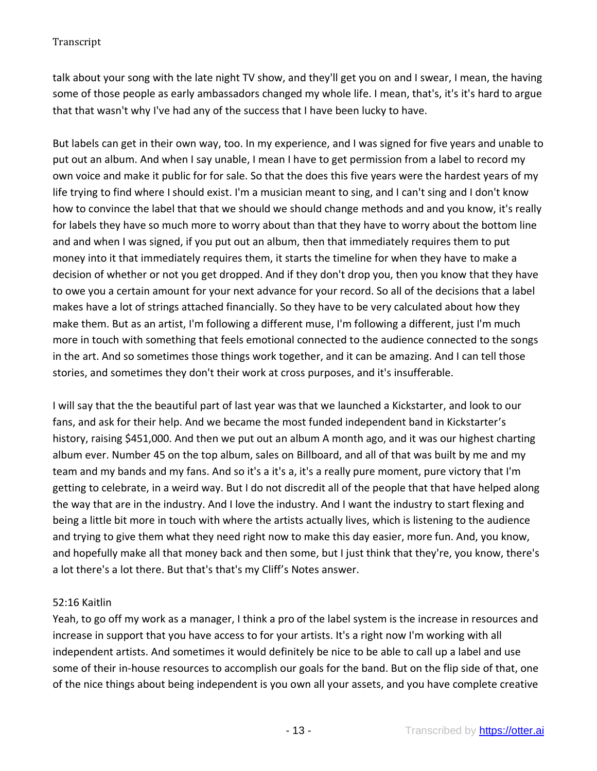talk about your song with the late night TV show, and they'll get you on and I swear, I mean, the having some of those people as early ambassadors changed my whole life. I mean, that's, it's it's hard to argue that that wasn't why I've had any of the success that I have been lucky to have.

But labels can get in their own way, too. In my experience, and I was signed for five years and unable to put out an album. And when I say unable, I mean I have to get permission from a label to record my own voice and make it public for for sale. So that the does this five years were the hardest years of my life trying to find where I should exist. I'm a musician meant to sing, and I can't sing and I don't know how to convince the label that that we should we should change methods and and you know, it's really for labels they have so much more to worry about than that they have to worry about the bottom line and and when I was signed, if you put out an album, then that immediately requires them to put money into it that immediately requires them, it starts the timeline for when they have to make a decision of whether or not you get dropped. And if they don't drop you, then you know that they have to owe you a certain amount for your next advance for your record. So all of the decisions that a label makes have a lot of strings attached financially. So they have to be very calculated about how they make them. But as an artist, I'm following a different muse, I'm following a different, just I'm much more in touch with something that feels emotional connected to the audience connected to the songs in the art. And so sometimes those things work together, and it can be amazing. And I can tell those stories, and sometimes they don't their work at cross purposes, and it's insufferable.

I will say that the the beautiful part of last year was that we launched a Kickstarter, and look to our fans, and ask for their help. And we became the most funded independent band in Kickstarter's history, raising \$451,000. And then we put out an album A month ago, and it was our highest charting album ever. Number 45 on the top album, sales on Billboard, and all of that was built by me and my team and my bands and my fans. And so it's a it's a, it's a really pure moment, pure victory that I'm getting to celebrate, in a weird way. But I do not discredit all of the people that that have helped along the way that are in the industry. And I love the industry. And I want the industry to start flexing and being a little bit more in touch with where the artists actually lives, which is listening to the audience and trying to give them what they need right now to make this day easier, more fun. And, you know, and hopefully make all that money back and then some, but I just think that they're, you know, there's a lot there's a lot there. But that's that's my Cliff's Notes answer.

# 52:16 Kaitlin

Yeah, to go off my work as a manager, I think a pro of the label system is the increase in resources and increase in support that you have access to for your artists. It's a right now I'm working with all independent artists. And sometimes it would definitely be nice to be able to call up a label and use some of their in-house resources to accomplish our goals for the band. But on the flip side of that, one of the nice things about being independent is you own all your assets, and you have complete creative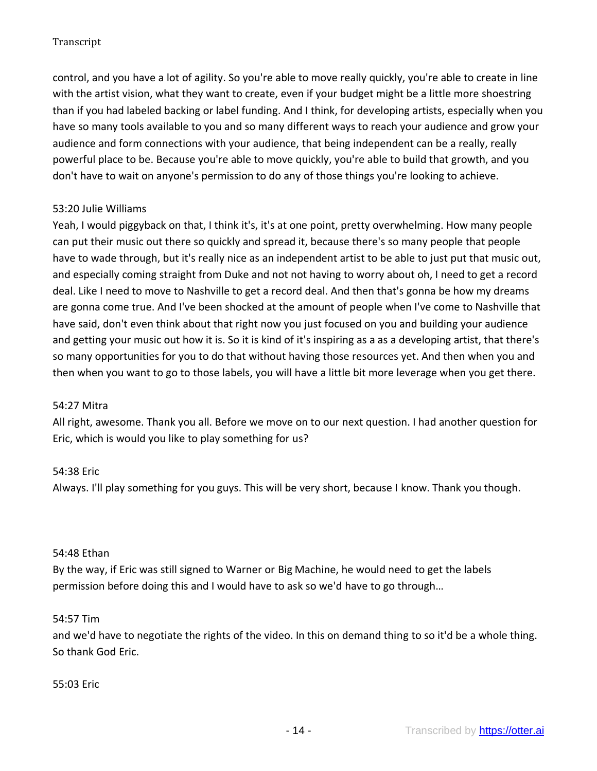control, and you have a lot of agility. So you're able to move really quickly, you're able to create in line with the artist vision, what they want to create, even if your budget might be a little more shoestring than if you had labeled backing or label funding. And I think, for developing artists, especially when you have so many tools available to you and so many different ways to reach your audience and grow your audience and form connections with your audience, that being independent can be a really, really powerful place to be. Because you're able to move quickly, you're able to build that growth, and you don't have to wait on anyone's permission to do any of those things you're looking to achieve.

### 53:20 Julie Williams

Yeah, I would piggyback on that, I think it's, it's at one point, pretty overwhelming. How many people can put their music out there so quickly and spread it, because there's so many people that people have to wade through, but it's really nice as an independent artist to be able to just put that music out, and especially coming straight from Duke and not not having to worry about oh, I need to get a record deal. Like I need to move to Nashville to get a record deal. And then that's gonna be how my dreams are gonna come true. And I've been shocked at the amount of people when I've come to Nashville that have said, don't even think about that right now you just focused on you and building your audience and getting your music out how it is. So it is kind of it's inspiring as a as a developing artist, that there's so many opportunities for you to do that without having those resources yet. And then when you and then when you want to go to those labels, you will have a little bit more leverage when you get there.

#### 54:27 Mitra

All right, awesome. Thank you all. Before we move on to our next question. I had another question for Eric, which is would you like to play something for us?

#### 54:38 Eric

Always. I'll play something for you guys. This will be very short, because I know. Thank you though.

#### 54:48 Ethan

By the way, if Eric was still signed to Warner or Big Machine, he would need to get the labels permission before doing this and I would have to ask so we'd have to go through…

#### 54:57 Tim

and we'd have to negotiate the rights of the video. In this on demand thing to so it'd be a whole thing. So thank God Eric.

#### 55:03 Eric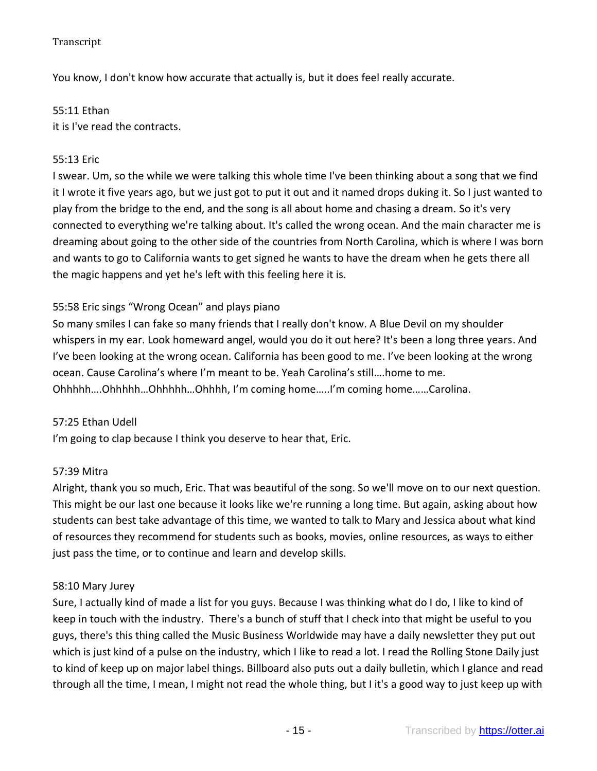You know, I don't know how accurate that actually is, but it does feel really accurate.

55:11 Ethan it is I've read the contracts.

## 55:13 Eric

I swear. Um, so the while we were talking this whole time I've been thinking about a song that we find it I wrote it five years ago, but we just got to put it out and it named drops duking it. So I just wanted to play from the bridge to the end, and the song is all about home and chasing a dream. So it's very connected to everything we're talking about. It's called the wrong ocean. And the main character me is dreaming about going to the other side of the countries from North Carolina, which is where I was born and wants to go to California wants to get signed he wants to have the dream when he gets there all the magic happens and yet he's left with this feeling here it is.

# 55:58 Eric sings "Wrong Ocean" and plays piano

So many smiles I can fake so many friends that I really don't know. A Blue Devil on my shoulder whispers in my ear. Look homeward angel, would you do it out here? It's been a long three years. And I've been looking at the wrong ocean. California has been good to me. I've been looking at the wrong ocean. Cause Carolina's where I'm meant to be. Yeah Carolina's still….home to me. Ohhhhh….Ohhhhh…Ohhhhh…Ohhhh, I'm coming home…..I'm coming home……Carolina.

#### 57:25 Ethan Udell

I'm going to clap because I think you deserve to hear that, Eric.

#### 57:39 Mitra

Alright, thank you so much, Eric. That was beautiful of the song. So we'll move on to our next question. This might be our last one because it looks like we're running a long time. But again, asking about how students can best take advantage of this time, we wanted to talk to Mary and Jessica about what kind of resources they recommend for students such as books, movies, online resources, as ways to either just pass the time, or to continue and learn and develop skills.

#### 58:10 Mary Jurey

Sure, I actually kind of made a list for you guys. Because I was thinking what do I do, I like to kind of keep in touch with the industry. There's a bunch of stuff that I check into that might be useful to you guys, there's this thing called the Music Business Worldwide may have a daily newsletter they put out which is just kind of a pulse on the industry, which I like to read a lot. I read the Rolling Stone Daily just to kind of keep up on major label things. Billboard also puts out a daily bulletin, which I glance and read through all the time, I mean, I might not read the whole thing, but I it's a good way to just keep up with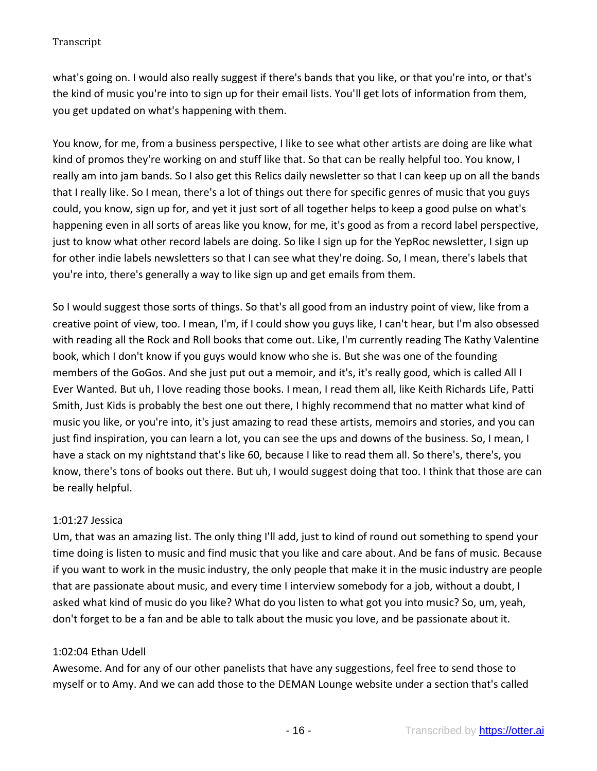what's going on. I would also really suggest if there's bands that you like, or that you're into, or that's the kind of music you're into to sign up for their email lists. You'll get lots of information from them, you get updated on what's happening with them.

You know, for me, from a business perspective, I like to see what other artists are doing are like what kind of promos they're working on and stuff like that. So that can be really helpful too. You know, I really am into jam bands. So I also get this Relics daily newsletter so that I can keep up on all the bands that I really like. So I mean, there's a lot of things out there for specific genres of music that you guys could, you know, sign up for, and yet it just sort of all together helps to keep a good pulse on what's happening even in all sorts of areas like you know, for me, it's good as from a record label perspective, just to know what other record labels are doing. So like I sign up for the YepRoc newsletter, I sign up for other indie labels newsletters so that I can see what they're doing. So, I mean, there's labels that you're into, there's generally a way to like sign up and get emails from them.

So I would suggest those sorts of things. So that's all good from an industry point of view, like from a creative point of view, too. I mean, I'm, if I could show you guys like, I can't hear, but I'm also obsessed with reading all the Rock and Roll books that come out. Like, I'm currently reading The Kathy Valentine book, which I don't know if you guys would know who she is. But she was one of the founding members of the GoGos. And she just put out a memoir, and it's, it's really good, which is called All I Ever Wanted. But uh, I love reading those books. I mean, I read them all, like Keith Richards Life, Patti Smith, Just Kids is probably the best one out there, I highly recommend that no matter what kind of music you like, or you're into, it's just amazing to read these artists, memoirs and stories, and you can just find inspiration, you can learn a lot, you can see the ups and downs of the business. So, I mean, I have a stack on my nightstand that's like 60, because I like to read them all. So there's, there's, you know, there's tons of books out there. But uh, I would suggest doing that too. I think that those are can be really helpful.

# 1:01:27 Jessica

Um, that was an amazing list. The only thing I'll add, just to kind of round out something to spend your time doing is listen to music and find music that you like and care about. And be fans of music. Because if you want to work in the music industry, the only people that make it in the music industry are people that are passionate about music, and every time I interview somebody for a job, without a doubt, I asked what kind of music do you like? What do you listen to what got you into music? So, um, yeah, don't forget to be a fan and be able to talk about the music you love, and be passionate about it.

# 1:02:04 Ethan Udell

Awesome. And for any of our other panelists that have any suggestions, feel free to send those to myself or to Amy. And we can add those to the DEMAN Lounge website under a section that's called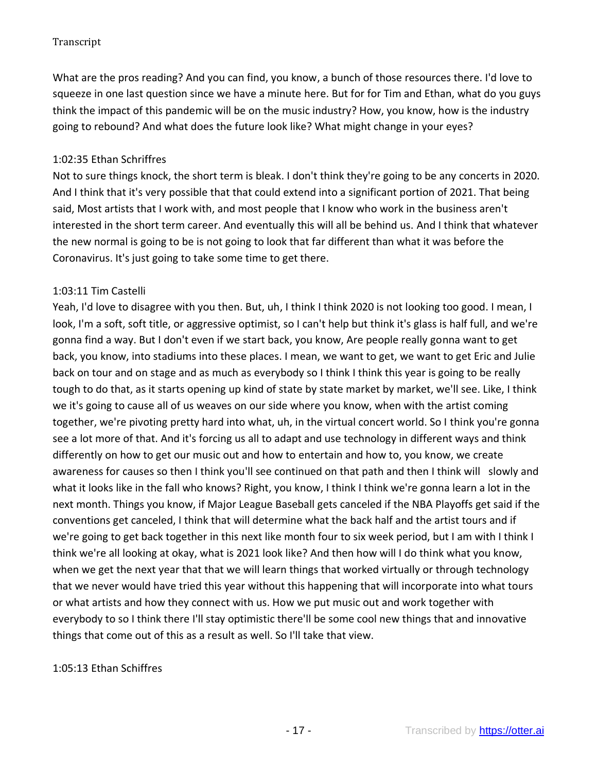What are the pros reading? And you can find, you know, a bunch of those resources there. I'd love to squeeze in one last question since we have a minute here. But for for Tim and Ethan, what do you guys think the impact of this pandemic will be on the music industry? How, you know, how is the industry going to rebound? And what does the future look like? What might change in your eyes?

## 1:02:35 Ethan Schriffres

Not to sure things knock, the short term is bleak. I don't think they're going to be any concerts in 2020. And I think that it's very possible that that could extend into a significant portion of 2021. That being said, Most artists that I work with, and most people that I know who work in the business aren't interested in the short term career. And eventually this will all be behind us. And I think that whatever the new normal is going to be is not going to look that far different than what it was before the Coronavirus. It's just going to take some time to get there.

### 1:03:11 Tim Castelli

Yeah, I'd love to disagree with you then. But, uh, I think I think 2020 is not looking too good. I mean, I look, I'm a soft, soft title, or aggressive optimist, so I can't help but think it's glass is half full, and we're gonna find a way. But I don't even if we start back, you know, Are people really gonna want to get back, you know, into stadiums into these places. I mean, we want to get, we want to get Eric and Julie back on tour and on stage and as much as everybody so I think I think this year is going to be really tough to do that, as it starts opening up kind of state by state market by market, we'll see. Like, I think we it's going to cause all of us weaves on our side where you know, when with the artist coming together, we're pivoting pretty hard into what, uh, in the virtual concert world. So I think you're gonna see a lot more of that. And it's forcing us all to adapt and use technology in different ways and think differently on how to get our music out and how to entertain and how to, you know, we create awareness for causes so then I think you'll see continued on that path and then I think will slowly and what it looks like in the fall who knows? Right, you know, I think I think we're gonna learn a lot in the next month. Things you know, if Major League Baseball gets canceled if the NBA Playoffs get said if the conventions get canceled, I think that will determine what the back half and the artist tours and if we're going to get back together in this next like month four to six week period, but I am with I think I think we're all looking at okay, what is 2021 look like? And then how will I do think what you know, when we get the next year that that we will learn things that worked virtually or through technology that we never would have tried this year without this happening that will incorporate into what tours or what artists and how they connect with us. How we put music out and work together with everybody to so I think there I'll stay optimistic there'll be some cool new things that and innovative things that come out of this as a result as well. So I'll take that view.

#### 1:05:13 Ethan Schiffres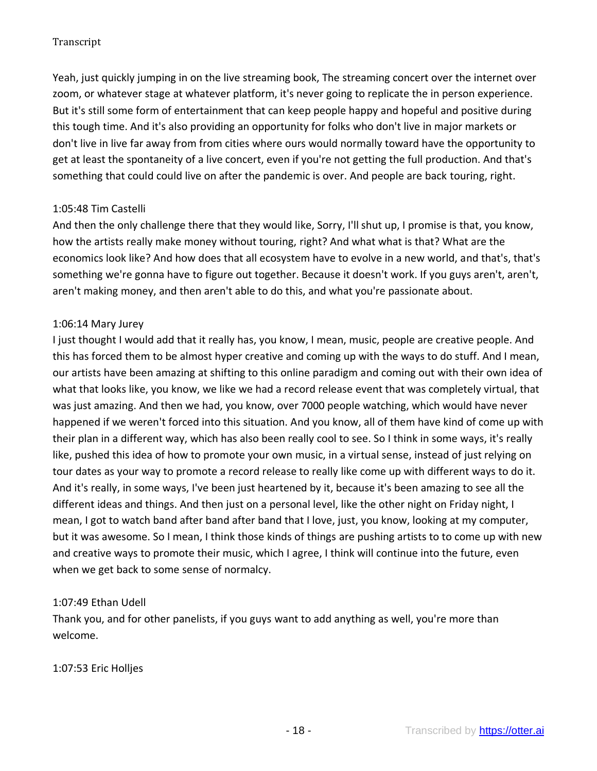Yeah, just quickly jumping in on the live streaming book, The streaming concert over the internet over zoom, or whatever stage at whatever platform, it's never going to replicate the in person experience. But it's still some form of entertainment that can keep people happy and hopeful and positive during this tough time. And it's also providing an opportunity for folks who don't live in major markets or don't live in live far away from from cities where ours would normally toward have the opportunity to get at least the spontaneity of a live concert, even if you're not getting the full production. And that's something that could could live on after the pandemic is over. And people are back touring, right.

### 1:05:48 Tim Castelli

And then the only challenge there that they would like, Sorry, I'll shut up, I promise is that, you know, how the artists really make money without touring, right? And what what is that? What are the economics look like? And how does that all ecosystem have to evolve in a new world, and that's, that's something we're gonna have to figure out together. Because it doesn't work. If you guys aren't, aren't, aren't making money, and then aren't able to do this, and what you're passionate about.

### 1:06:14 Mary Jurey

I just thought I would add that it really has, you know, I mean, music, people are creative people. And this has forced them to be almost hyper creative and coming up with the ways to do stuff. And I mean, our artists have been amazing at shifting to this online paradigm and coming out with their own idea of what that looks like, you know, we like we had a record release event that was completely virtual, that was just amazing. And then we had, you know, over 7000 people watching, which would have never happened if we weren't forced into this situation. And you know, all of them have kind of come up with their plan in a different way, which has also been really cool to see. So I think in some ways, it's really like, pushed this idea of how to promote your own music, in a virtual sense, instead of just relying on tour dates as your way to promote a record release to really like come up with different ways to do it. And it's really, in some ways, I've been just heartened by it, because it's been amazing to see all the different ideas and things. And then just on a personal level, like the other night on Friday night, I mean, I got to watch band after band after band that I love, just, you know, looking at my computer, but it was awesome. So I mean, I think those kinds of things are pushing artists to to come up with new and creative ways to promote their music, which I agree, I think will continue into the future, even when we get back to some sense of normalcy.

# 1:07:49 Ethan Udell

Thank you, and for other panelists, if you guys want to add anything as well, you're more than welcome.

# 1:07:53 Eric Holljes